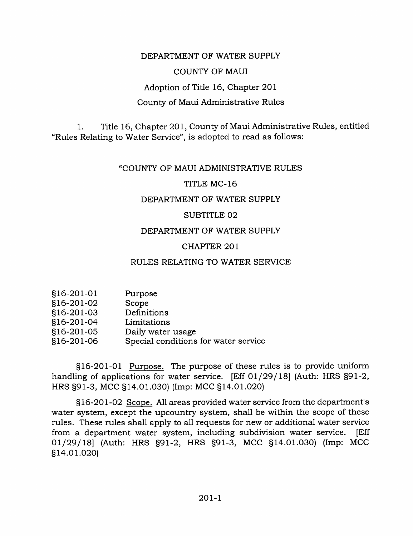## DEPARTMENT OF WATER SUPPLY

## COUNTY OF MAUI

Adoption of Title 16, Chapter 201

## County of Maui Administrative Rules

1. Title 16, Chapter 201, County of Maui Administrative Rules, entitled "Rules Relating to Water Service", is adopted to read as follows:

### "COUNTY OF MAUI ADMINISTRATIVE RULES

### TITLE MC-16

### DEPARTMENT OF WATER SUPPLY

#### SUBTITLE 02

### DEPARTMENT OF WATER SUPPLY

## CHAPTER 201

# RULES RELATING TO WATER SERVICE

| §16-201-02<br>Scope                                |  |
|----------------------------------------------------|--|
| §16-201-03<br>Definitions                          |  |
| §16-201-04<br>Limitations                          |  |
| §16-201-05<br>Daily water usage                    |  |
| Special conditions for water service<br>§16-201-06 |  |

§16-201-01 Purpose. The purpose of these rules is to provide uniform handling of applications for water service. [Eff 01/29/18] (Auth: HRS §91-2, HRS §91-3, MCC §14.01.030) (Imp: MCC §14.01.020)

§16-201-02 Scope. All areas provided water service from the department's water system, except the upcountry system, shall be within the scope of these rules. These rules shall apply to all requests for new or additional water service from a department water system, including subdivision water service. [Eff 01/29/18] (Auth: HRS §91-2, HRS §91-3, MCC §14.01.030) (Imp: MCC §14.01.020)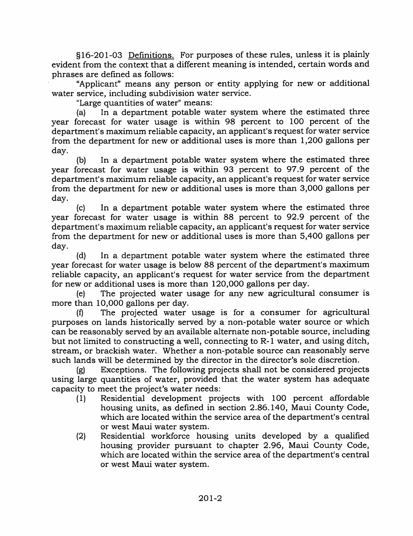§16-201-03 Definitions. For purposes of these rules, unless it is plainly evident from the context that a different meaning is intended, certain words and phrases are defined as follows:

"Applicant" means any person or entity applying for new or additional water service, including subdivision water service.

"Large quantities of water" means:

(a) In a department potable water system where the estimated three year forecast for water usage is within 98 percent to 100 percent of the department's maximum reliable capacity, an applicant's request for water service from the department for new or additional uses is more than 1,200 gallons per day.

(b) In a department potable water system where the estimated three year forecast for water usage is within 93 percent to 97.9 percent of the department's maximum reliable capacity, an applicant's request for water service from the department for new or additional uses is more than 3,000 gallons per day.

(c) In a department potable water system where the estimated three year forecast for water usage is within 88 percent to 92.9 percent of the department's maximum reliable capacity, an applicant's request for water service from the department for new or additional uses is more than 5,400 gallons per day.

(d) In a department potable water system where the estimated three year forecast for water usage is below 88 percent of the department's maximum reliable capacity, an applicant's request for water service from the department for new or additional uses is more than 120,000 gallons per day.

(e) The projected water usage for any new agricultural consumer is more than 10,000 gallons per day.

(f) The projected water usage is for a consumer for agricultural purposes on lands historically served by a non-potable water source or which can be reasonably served by an available alternate non-potable source, including but not limited to constructing a well, connecting to R-1 water, and using ditch, stream, or brackish water. Whether a non-potable source can reasonably serve such lands will be determined by the director in the director's sole discretion.

(g) Exceptions. The following projects shall not be considered projects using large quantities of water, provided that the water system has adequate capacity to meet the project's water needs:

- (1) Residential development projects with 100 percent affordable housing units, as defined in section 2.86.140, Maui County Code, which are located within the service area of the department's central or west Maui water system.
- (2) Residential workforce housing units developed by a qualified housing provider pursuant to chapter 2.96, Maui County Code, which are located within the service area of the department's central or west Maui water system.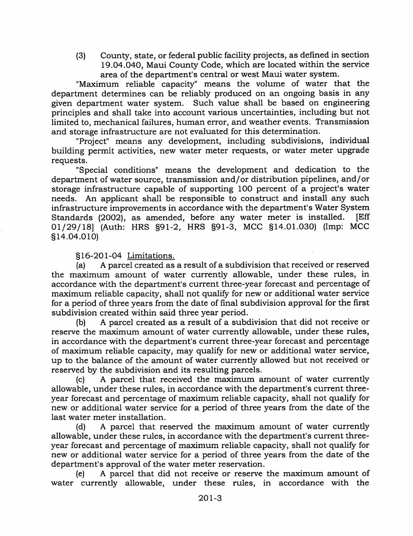(3) County, state, or federal public facility projects, as defined in section 19.04.040, Maui County Code, which are located within the service area of the department's central or west Maui water system.

"Maximum reliable capacity" means the volume of water that the department determines can be reliably produced on an ongoing basis in any given department water system. Such value shall be based on engineering principles and shall take into account various uncertainties, including but not limited to, mechanical failures, human error, and weather events. Transmission and storage infrastructure are not evaluated for this determination.

"Project" means any development, including subdivisions, individual building permit activities, new water meter requests, or water meter upgrade requests.

"Special conditions" means the development and dedication to the department of water source, transmission and/or distribution pipelines, and/or storage infrastructure capable of supporting 100 percent of a project's water needs. An applicant shadl be responsible to construct and install any such infrastructure improvements in accordance with the department's Water System Standards (2002), as amended, before any water meter is installed. [Eff 01/29/18] (Auth: HRS §91-2, MRS §91-3, MCC §14.01.030) (Imp: MCC §14.04.010)

# §16-201-04 Limitations.

(a) A parcel created as a result of a subdivision that received or reserved the maximum amount of water currently allowable, under these rules, in accordance with the department's current three-year forecast and percentage of maximum reliable capacity, shall not qualify for new or additional water service for a period of three years from the date of final subdivision approval for the first subdivision created within said three year period.

(b) A parcel created as a result of a subdivision that did not receive or reserve the maximum amount of water currently allowable, under these rules, in accordance with the department's current three-year forecast and percentage of maximum reliable capacity, may qualify for new or additional water service, up to the balance of the amount of water currently allowed but not received or reserved by the subdivision and its resulting parcels.

(c) A parcel that received the maximum amount of water currently allowable, under these rules, in accordance with the department's current threeyear forecast and percentage of maximum reliable capacity, shall not qualify for new or additional water service for a period of three years from the date of the last water meter installation.

(d) A parcel that reserved the maximum amount of water currently allowable, under these rules, in accordance with the department's current threeyear forecast and percentage of maximum reliable capacity, shall not qualify for new or additional water service for a period of three years from the date of the department's approval of the water meter reservation.

(e) A parcel that did not receive or reserve the maximum amount of water currently allowable, under these rules, in accordance with the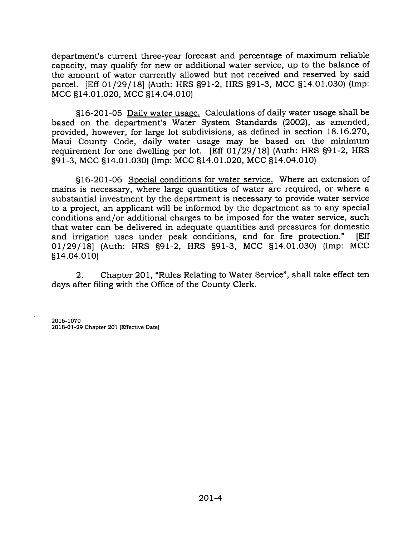department's current three-year forecast and percentage of maximum reliable capacity, may qualify for new or additional water service, up to the balance of the amount of water currently allowed but not received and reserved by said parcel. [Eff 01/29/18] (Auth: HRS §91-2, HRS §91-3, MCC §14.01.030) (Imp: MCC §14.01.020, MCC §14.04.010)

§16-201-05 Daily water usage. Calculations of daily water usage shall be based on the department's Water System Standards (2002), as amended, provided, however, for large lot subdivisions, as defined in section 18.16.270, Maui County Code, daily water usage may be based on the minimum requirement for one dwelling per lot. [Eff 01/29/18] (Auth: HRS §91-2, HRS §91-3, MCC §14.01.030) (Imp: MCC §14.01.020, MCC §14.04.010)

§16-201-06 Special conditions for water service. Where an extension of mains is necessary, where large quantities of water are required, or where a substantial investment by the department is necessary to provide water service to a project, an applicant will be informed by the department as to any special conditions and/or additional charges to be imposed for the water service, such that water can be delivered in adequate quantities and pressures for domestic<br>and irrigation uses under peak conditions, and for fire protection." [Eff and irrigation uses under peak conditions, and for fire protection." 01/29/18] (Auth: HRS §91-2, HRS §91-3, MCC §14.01.030) (Imp: MCC §14.04.010)

2. Chapter 201, "Rules Relating to Water Service", shall take effect ten days after filing with the Office of the County Clerk.

2016-1070 2018-01-29 Chapter 201 (Effective Date)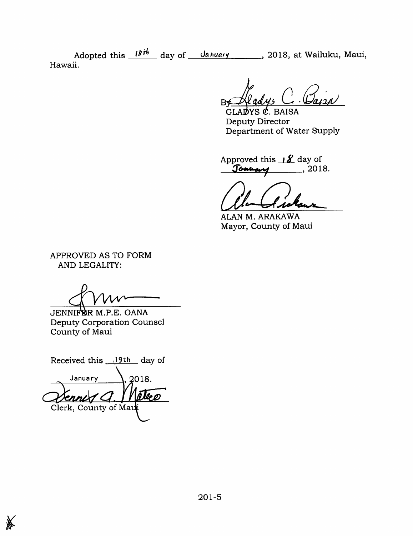Adopted this  $\frac{18r}{10}$  day of <u>January</u>, 2018, at Wailuku, Maui, Hawaii.

**B** 

GLADYS  $\mathcal{C}$ . BAISA Deputy Director Department of Water Supply

Approved this  $\mathcal{S}$  day of Jonary , 2018.

ALAN M. ARAKAWA Mayor, County of Maui

APPROVED AS TO FORM AND LEGALITY:

JENNIFSR M.P.E. OANA Deputy Corporation Counsel County of Maui

Received this  $19th$  day of January  $\lambda$ , 2018. leø nni Clerk, County of Ma